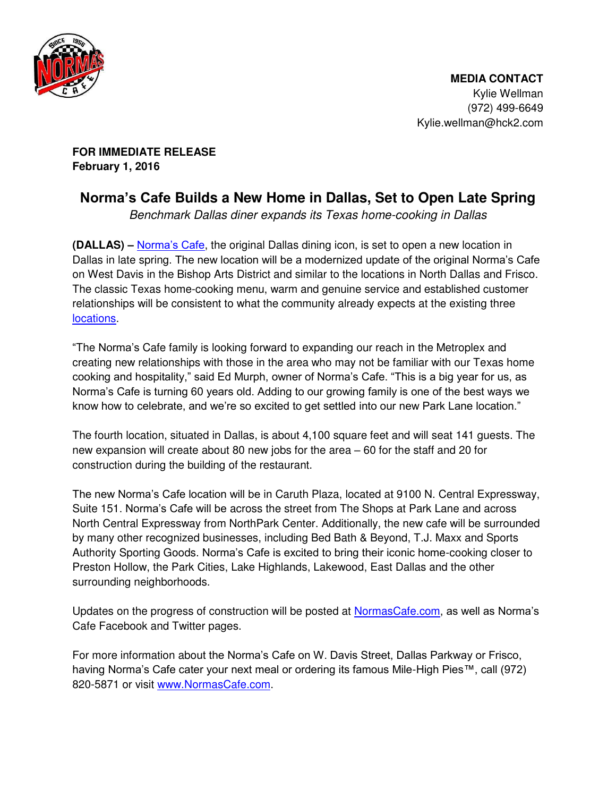

**FOR IMMEDIATE RELEASE February 1, 2016** 

## **Norma's Cafe Builds a New Home in Dallas, Set to Open Late Spring**

*Benchmark Dallas diner expands its Texas home-cooking in Dallas* 

**(DALLAS) –** [Norma's Cafe](http://normascafe.com/), the original Dallas dining icon, is set to open a new location in Dallas in late spring. The new location will be a modernized update of the original Norma's Cafe on West Davis in the Bishop Arts District and similar to the locations in North Dallas and Frisco. The classic Texas home-cooking menu, warm and genuine service and established customer relationships will be consistent to what the community already expects at the existing three [locations.](http://www.normascafe.com/locations/)

"The Norma's Cafe family is looking forward to expanding our reach in the Metroplex and creating new relationships with those in the area who may not be familiar with our Texas home cooking and hospitality," said Ed Murph, owner of Norma's Cafe. "This is a big year for us, as Norma's Cafe is turning 60 years old. Adding to our growing family is one of the best ways we know how to celebrate, and we're so excited to get settled into our new Park Lane location."

The fourth location, situated in Dallas, is about 4,100 square feet and will seat 141 guests. The new expansion will create about 80 new jobs for the area – 60 for the staff and 20 for construction during the building of the restaurant.

The new Norma's Cafe location will be in Caruth Plaza, located at 9100 N. Central Expressway, Suite 151. Norma's Cafe will be across the street from The Shops at Park Lane and across North Central Expressway from NorthPark Center. Additionally, the new cafe will be surrounded by many other recognized businesses, including Bed Bath & Beyond, T.J. Maxx and Sports Authority Sporting Goods. Norma's Cafe is excited to bring their iconic home-cooking closer to Preston Hollow, the Park Cities, Lake Highlands, Lakewood, East Dallas and the other surrounding neighborhoods.

Updates on the progress of construction will be posted at [NormasCafe.com](http://www.normascafe.com/), as well as Norma's Cafe Facebook and Twitter pages.

For more information about the Norma's Cafe on W. Davis Street, Dallas Parkway or Frisco, having Norma's Cafe cater your next meal or ordering its famous Mile-High Pies™, call (972) 820-5871 or visit [www.NormasCafe.com.](http://www.normascafe.com/)